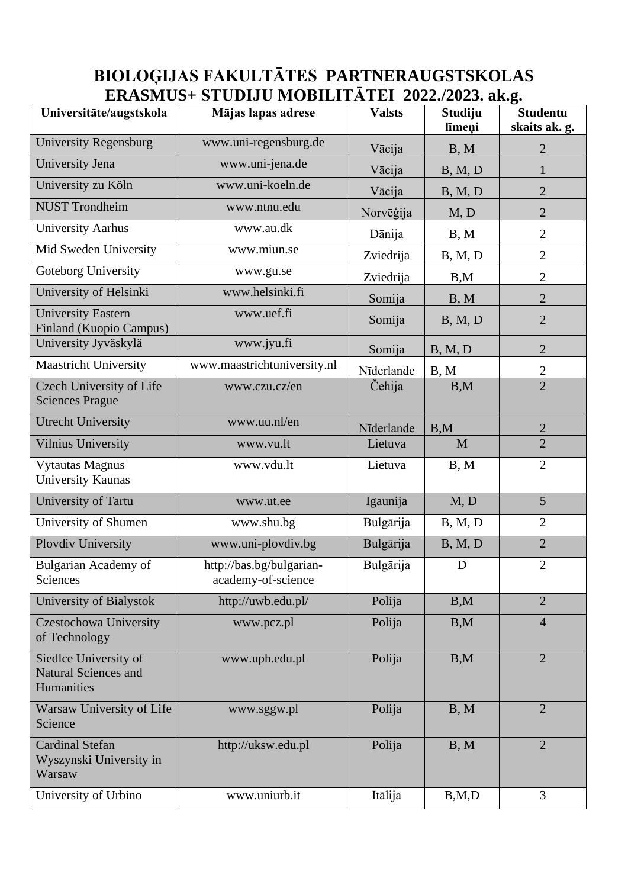## **BIOLOĢIJAS FAKULTĀTES PARTNERAUGSTSKOLAS ERASMUS+ STUDIJU MOBILITĀTEI 2022./2023. ak.g.**

| Universitāte/augstskola                                            | Mājas lapas adrese                             | <b>Valsts</b> | Studiju<br>līmeņi | <b>Studentu</b><br>skaits ak. g. |
|--------------------------------------------------------------------|------------------------------------------------|---------------|-------------------|----------------------------------|
| <b>University Regensburg</b>                                       | www.uni-regensburg.de                          | Vācija        | B, M              | $\overline{2}$                   |
| University Jena                                                    | www.uni-jena.de                                | Vācija        | B, M, D           | $\mathbf{1}$                     |
| University zu Köln                                                 | www.uni-koeln.de                               | Vācija        | B, M, D           | $\overline{2}$                   |
| <b>NUST Trondheim</b>                                              | www.ntnu.edu                                   | Norvēģija     | M, D              | $\overline{2}$                   |
| <b>University Aarhus</b>                                           | www.au.dk                                      | Dānija        | B, M              | $\overline{2}$                   |
| Mid Sweden University                                              | www.miun.se                                    | Zviedrija     | B, M, D           | $\mathbf{2}$                     |
| Goteborg University                                                | www.gu.se                                      | Zviedrija     | B,M               | $\overline{2}$                   |
| University of Helsinki                                             | www.helsinki.fi                                | Somija        | B, M              | $\overline{2}$                   |
| <b>University Eastern</b><br><b>Finland (Kuopio Campus)</b>        | www.uef.fi                                     | Somija        | B, M, D           | $\overline{2}$                   |
| University Jyväskylä                                               | www.jyu.fi                                     | Somija        | B, M, D           | $\overline{2}$                   |
| <b>Maastricht University</b>                                       | www.maastrichtuniversity.nl                    | Nīderlande    | B, M              | $\sqrt{2}$                       |
| Czech University of Life<br><b>Sciences Prague</b>                 | www.czu.cz/en                                  | Cehija        | B,M               | $\overline{2}$                   |
| <b>Utrecht University</b>                                          | www.uu.nl/en                                   | Nīderlande    | B,M               | $\overline{2}$                   |
| Vilnius University                                                 | www.vu.lt                                      | Lietuva       | M                 | $\overline{2}$                   |
| <b>Vytautas Magnus</b><br><b>University Kaunas</b>                 | www.vdu.lt                                     | Lietuva       | B, M              | $\overline{2}$                   |
| University of Tartu                                                | www.ut.ee                                      | Igaunija      | M, D              | 5                                |
| University of Shumen                                               | www.shu.bg                                     | Bulgārija     | B, M, D           | $\overline{2}$                   |
| Plovdiv University                                                 | www.uni-plovdiv.bg                             | Bulgārija     | B, M, D           | $\overline{2}$                   |
| <b>Bulgarian Academy of</b><br>Sciences                            | http://bas.bg/bulgarian-<br>academy-of-science | Bulgārija     | $\mathbf D$       | $\mathbf{2}$                     |
| University of Bialystok                                            | http://uwb.edu.pl/                             | Polija        | B,M               | $\overline{2}$                   |
| Czestochowa University<br>of Technology                            | www.pcz.pl                                     | Polija        | B,M               | $\overline{4}$                   |
| Siedlce University of<br><b>Natural Sciences and</b><br>Humanities | www.uph.edu.pl                                 | Polija        | B,M               | $\overline{2}$                   |
| Warsaw University of Life<br>Science                               | www.sggw.pl                                    | Polija        | B, M              | $\overline{2}$                   |
| <b>Cardinal Stefan</b><br>Wyszynski University in<br>Warsaw        | http://uksw.edu.pl                             | Polija        | B, M              | $\overline{2}$                   |
| University of Urbino                                               | www.uniurb.it                                  | Itālija       | B, M, D           | 3                                |